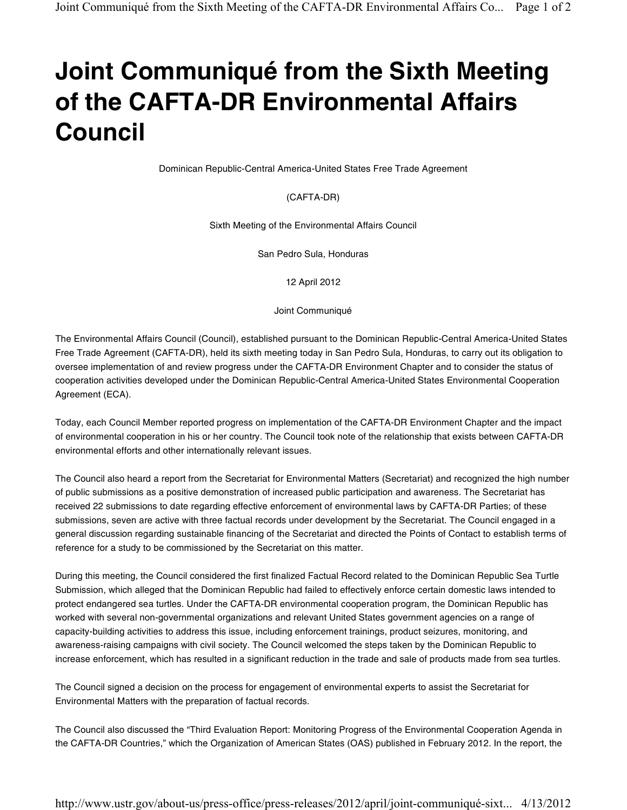## Joint Communiqué from the Sixth Meeting of the CAFTA-DR Environmental Affairs Council

Dominican Republic-Central America-United States Free Trade Agreement

## (CAFTA-DR)

Sixth Meeting of the Environmental Affairs Council

San Pedro Sula, Honduras

12 April 2012

Joint Communiqué

The Environmental Affairs Council (Council), established pursuant to the Dominican Republic-Central America-United States Free Trade Agreement (CAFTA-DR), held its sixth meeting today in San Pedro Sula, Honduras, to carry out its obligation to oversee implementation of and review progress under the CAFTA-DR Environment Chapter and to consider the status of cooperation activities developed under the Dominican Republic-Central America-United States Environmental Cooperation Agreement (ECA).

Today, each Council Member reported progress on implementation of the CAFTA-DR Environment Chapter and the impact of environmental cooperation in his or her country. The Council took note of the relationship that exists between CAFTA-DR environmental efforts and other internationally relevant issues.

The Council also heard a report from the Secretariat for Environmental Matters (Secretariat) and recognized the high number of public submissions as a positive demonstration of increased public participation and awareness. The Secretariat has received 22 submissions to date regarding effective enforcement of environmental laws by CAFTA-DR Parties; of these submissions, seven are active with three factual records under development by the Secretariat. The Council engaged in a general discussion regarding sustainable financing of the Secretariat and directed the Points of Contact to establish terms of reference for a study to be commissioned by the Secretariat on this matter.

During this meeting, the Council considered the first finalized Factual Record related to the Dominican Republic Sea Turtle Submission, which alleged that the Dominican Republic had failed to effectively enforce certain domestic laws intended to protect endangered sea turtles. Under the CAFTA-DR environmental cooperation program, the Dominican Republic has worked with several non-governmental organizations and relevant United States government agencies on a range of capacity-building activities to address this issue, including enforcement trainings, product seizures, monitoring, and awareness-raising campaigns with civil society. The Council welcomed the steps taken by the Dominican Republic to increase enforcement, which has resulted in a significant reduction in the trade and sale of products made from sea turtles.

The Council signed a decision on the process for engagement of environmental experts to assist the Secretariat for Environmental Matters with the preparation of factual records.

The Council also discussed the "Third Evaluation Report: Monitoring Progress of the Environmental Cooperation Agenda in the CAFTA-DR Countries," which the Organization of American States (OAS) published in February 2012. In the report, the